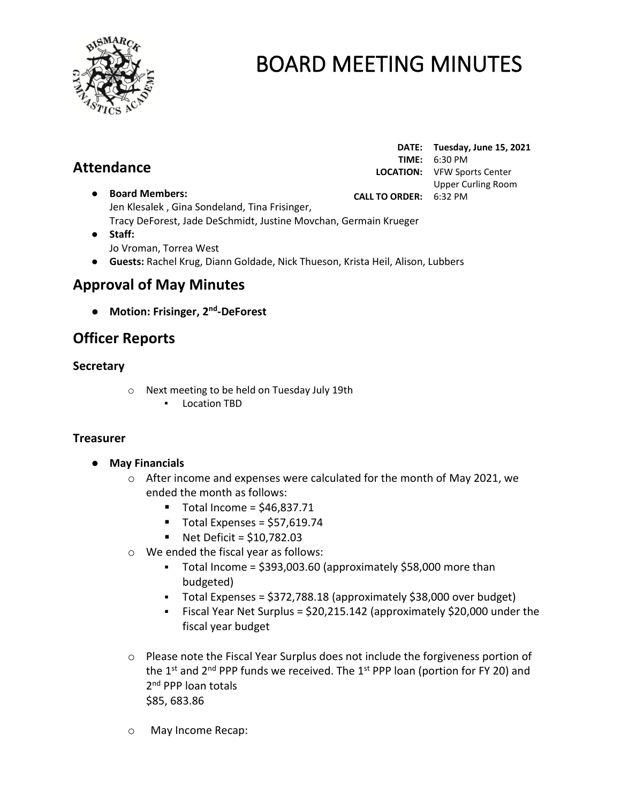

# **Attendance**

**DATE: Tuesday, June 15, 2021 TIME:** 6:30 PM **LOCATION:** VFW Sports Center Upper Curling Room **CALL TO ORDER:** 6:32 PM

- **Board Members:** Jen Klesalek , Gina Sondeland, Tina Frisinger, Tracy DeForest, Jade DeSchmidt, Justine Movchan, Germain Krueger
- **Staff:**  Jo Vroman, Torrea West
- **Guests:** Rachel Krug, Diann Goldade, Nick Thueson, Krista Heil, Alison, Lubbers

# **Approval of May Minutes**

● **Motion: Frisinger, 2 nd -DeForest**

# **Officer Reports**

# **Secretary**

- o Next meeting to be held on Tuesday July 19th
	- Location TBD

### **Treasurer**

- **May Financials** 
	- $\circ$  After income and expenses were calculated for the month of May 2021, we ended the month as follows:
		- $\blacksquare$  Total Income = \$46,837.71
		- $\blacksquare$  Total Expenses = \$57,619.74
		- $\blacksquare$  Net Deficit = \$10,782.03
	- o We ended the fiscal year as follows:
		- Total Income = \$393,003.60 (approximately \$58,000 more than budgeted)
		- Total Expenses = \$372,788.18 (approximately \$38,000 over budget)
		- Fiscal Year Net Surplus = \$20,215.142 (approximately \$20,000 under the fiscal year budget
	- $\circ$  Please note the Fiscal Year Surplus does not include the forgiveness portion of the 1<sup>st</sup> and 2<sup>nd</sup> PPP funds we received. The 1<sup>st</sup> PPP loan (portion for FY 20) and 2<sup>nd</sup> PPP loan totals \$85, 683.86
	- o May Income Recap: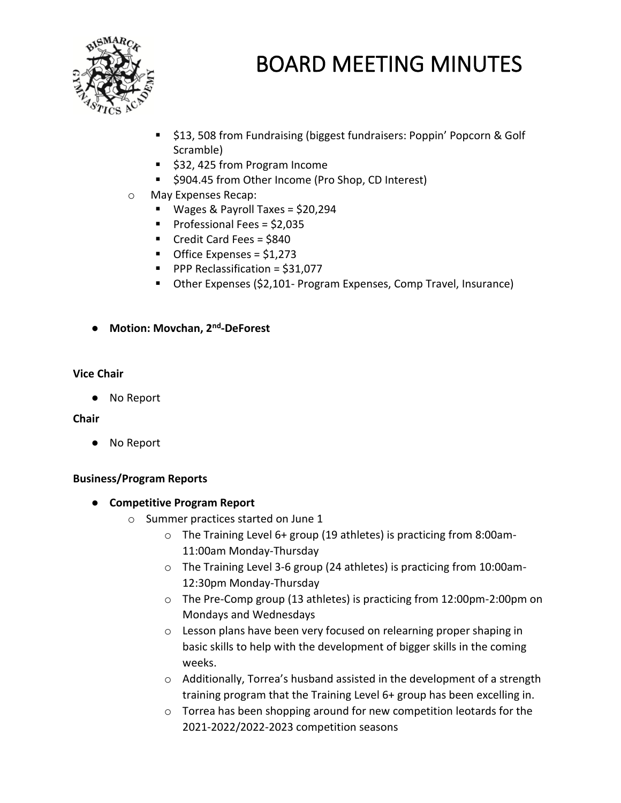

- \$13, 508 from Fundraising (biggest fundraisers: Poppin' Popcorn & Golf Scramble)
- \$32, 425 from Program Income
- \$904.45 from Other Income (Pro Shop, CD Interest)
- o May Expenses Recap:
	- Wages & Payroll Taxes = \$20,294
	- Professional Fees = \$2,035
	- Credit Card Fees = \$840
	- Office Expenses = \$1,273
	- PPP Reclassification = \$31,077
	- Other Expenses (\$2,101- Program Expenses, Comp Travel, Insurance)
- **Motion: Movchan, 2nd -DeForest**

#### **Vice Chair**

● No Report

#### **Chair**

● No Report

#### **Business/Program Reports**

- **Competitive Program Report**
	- o Summer practices started on June 1
		- o The Training Level 6+ group (19 athletes) is practicing from 8:00am-11:00am Monday-Thursday
		- o The Training Level 3-6 group (24 athletes) is practicing from 10:00am-12:30pm Monday-Thursday
		- o The Pre-Comp group (13 athletes) is practicing from 12:00pm-2:00pm on Mondays and Wednesdays
		- o Lesson plans have been very focused on relearning proper shaping in basic skills to help with the development of bigger skills in the coming weeks.
		- o Additionally, Torrea's husband assisted in the development of a strength training program that the Training Level 6+ group has been excelling in.
		- o Torrea has been shopping around for new competition leotards for the 2021-2022/2022-2023 competition seasons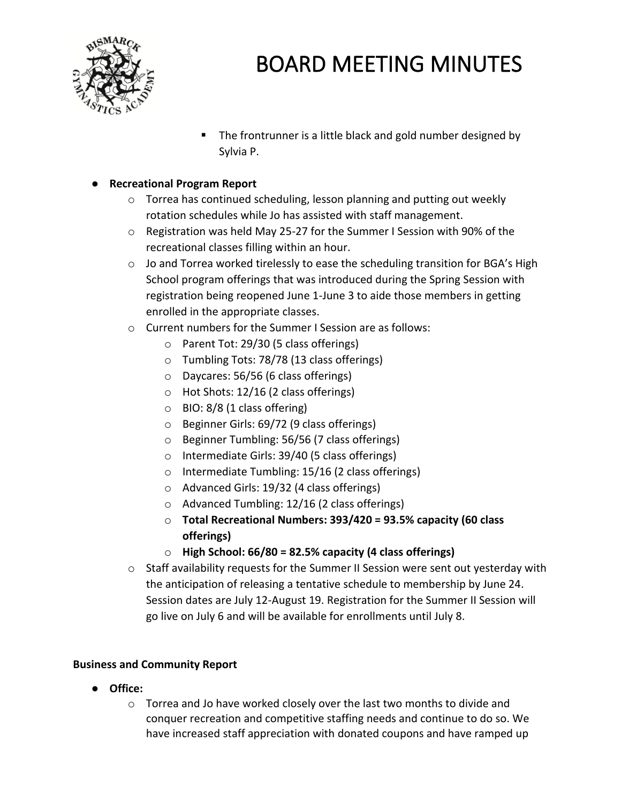

■ The frontrunner is a little black and gold number designed by Sylvia P.

## ● **Recreational Program Report**

- o Torrea has continued scheduling, lesson planning and putting out weekly rotation schedules while Jo has assisted with staff management.
- $\circ$  Registration was held May 25-27 for the Summer I Session with 90% of the recreational classes filling within an hour.
- $\circ$  Jo and Torrea worked tirelessly to ease the scheduling transition for BGA's High School program offerings that was introduced during the Spring Session with registration being reopened June 1-June 3 to aide those members in getting enrolled in the appropriate classes.
- o Current numbers for the Summer I Session are as follows:
	- o Parent Tot: 29/30 (5 class offerings)
	- o Tumbling Tots: 78/78 (13 class offerings)
	- o Daycares: 56/56 (6 class offerings)
	- o Hot Shots: 12/16 (2 class offerings)
	- $\circ$  BIO: 8/8 (1 class offering)
	- o Beginner Girls: 69/72 (9 class offerings)
	- o Beginner Tumbling: 56/56 (7 class offerings)
	- o Intermediate Girls: 39/40 (5 class offerings)
	- o Intermediate Tumbling: 15/16 (2 class offerings)
	- o Advanced Girls: 19/32 (4 class offerings)
	- o Advanced Tumbling: 12/16 (2 class offerings)
	- o **Total Recreational Numbers: 393/420 = 93.5% capacity (60 class offerings)**
	- o **High School: 66/80 = 82.5% capacity (4 class offerings)**
- o Staff availability requests for the Summer II Session were sent out yesterday with the anticipation of releasing a tentative schedule to membership by June 24. Session dates are July 12-August 19. Registration for the Summer II Session will go live on July 6 and will be available for enrollments until July 8.

### **Business and Community Report**

- **Office:** 
	- $\circ$  Torrea and Jo have worked closely over the last two months to divide and conquer recreation and competitive staffing needs and continue to do so. We have increased staff appreciation with donated coupons and have ramped up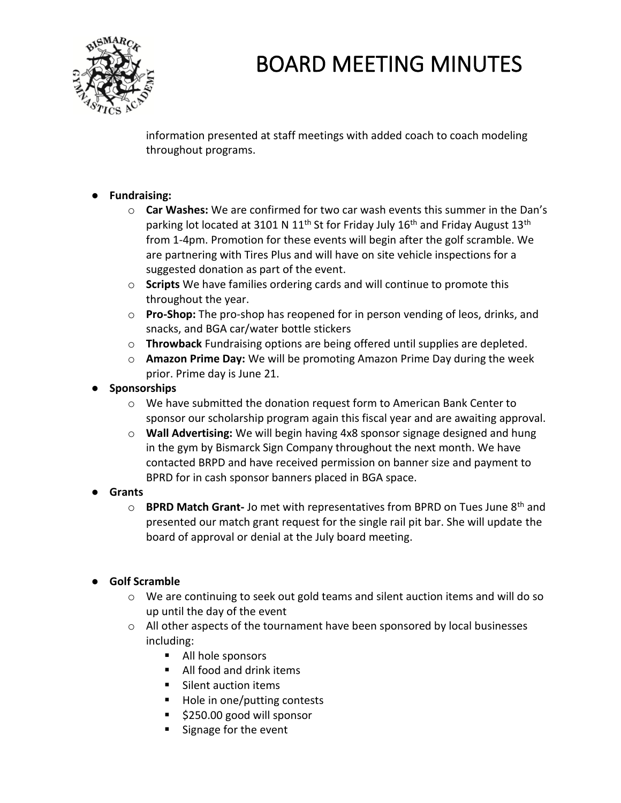

information presented at staff meetings with added coach to coach modeling throughout programs.

# ● **Fundraising:**

- o **Car Washes:** We are confirmed for two car wash events this summer in the Dan's parking lot located at 3101 N 11<sup>th</sup> St for Friday July 16<sup>th</sup> and Friday August 13<sup>th</sup> from 1-4pm. Promotion for these events will begin after the golf scramble. We are partnering with Tires Plus and will have on site vehicle inspections for a suggested donation as part of the event.
- o **Scripts** We have families ordering cards and will continue to promote this throughout the year.
- o **Pro-Shop:** The pro-shop has reopened for in person vending of leos, drinks, and snacks, and BGA car/water bottle stickers
- o **Throwback** Fundraising options are being offered until supplies are depleted.
- o **Amazon Prime Day:** We will be promoting Amazon Prime Day during the week prior. Prime day is June 21.
- **Sponsorships**
	- $\circ$  We have submitted the donation request form to American Bank Center to sponsor our scholarship program again this fiscal year and are awaiting approval.
	- o **Wall Advertising:** We will begin having 4x8 sponsor signage designed and hung in the gym by Bismarck Sign Company throughout the next month. We have contacted BRPD and have received permission on banner size and payment to BPRD for in cash sponsor banners placed in BGA space.

# ● **Grants**

o **BPRD Match Grant-** Jo met with representatives from BPRD on Tues June 8th and presented our match grant request for the single rail pit bar. She will update the board of approval or denial at the July board meeting.

# ● **Golf Scramble**

- o We are continuing to seek out gold teams and silent auction items and will do so up until the day of the event
- $\circ$  All other aspects of the tournament have been sponsored by local businesses including:
	- All hole sponsors
	- All food and drink items
	- Silent auction items
	- Hole in one/putting contests
	- \$250.00 good will sponsor
	- Signage for the event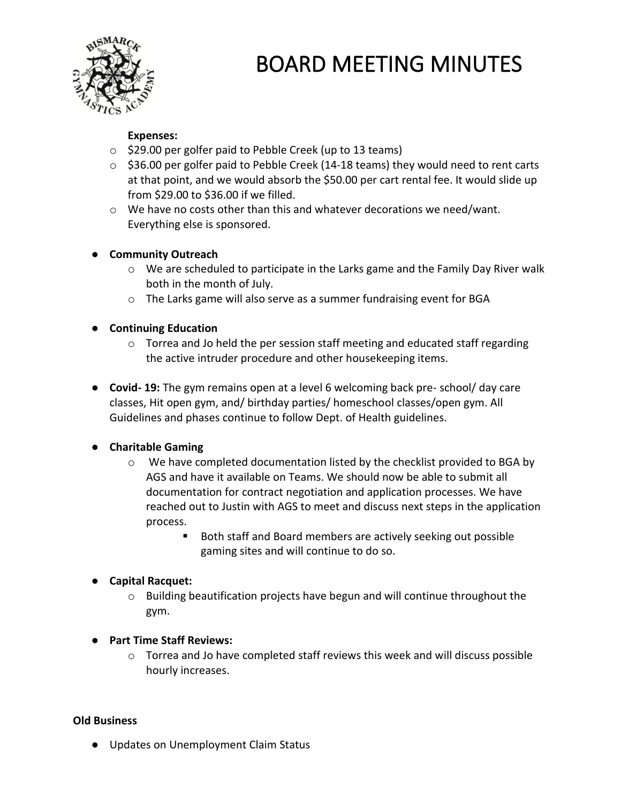

#### **Expenses:**

- o \$29.00 per golfer paid to Pebble Creek (up to 13 teams)
- $\circ$  \$36.00 per golfer paid to Pebble Creek (14-18 teams) they would need to rent carts at that point, and we would absorb the \$50.00 per cart rental fee. It would slide up from \$29.00 to \$36.00 if we filled.
- $\circ$  We have no costs other than this and whatever decorations we need/want. Everything else is sponsored.

### ● **Community Outreach**

- $\circ$  We are scheduled to participate in the Larks game and the Family Day River walk both in the month of July.
- $\circ$  The Larks game will also serve as a summer fundraising event for BGA

### ● **Continuing Education**

- $\circ$  Torrea and Jo held the per session staff meeting and educated staff regarding the active intruder procedure and other housekeeping items.
- **Covid- 19:** The gym remains open at a level 6 welcoming back pre- school/ day care classes, Hit open gym, and/ birthday parties/ homeschool classes/open gym. All Guidelines and phases continue to follow Dept. of Health guidelines.

### ● **Charitable Gaming**

- $\circ$  We have completed documentation listed by the checklist provided to BGA by AGS and have it available on Teams. We should now be able to submit all documentation for contract negotiation and application processes. We have reached out to Justin with AGS to meet and discuss next steps in the application process.
	- Both staff and Board members are actively seeking out possible gaming sites and will continue to do so.

### ● **Capital Racquet:**

- o Building beautification projects have begun and will continue throughout the gym.
- **Part Time Staff Reviews:** 
	- $\circ$  Torrea and Jo have completed staff reviews this week and will discuss possible hourly increases.

### **Old Business**

● Updates on Unemployment Claim Status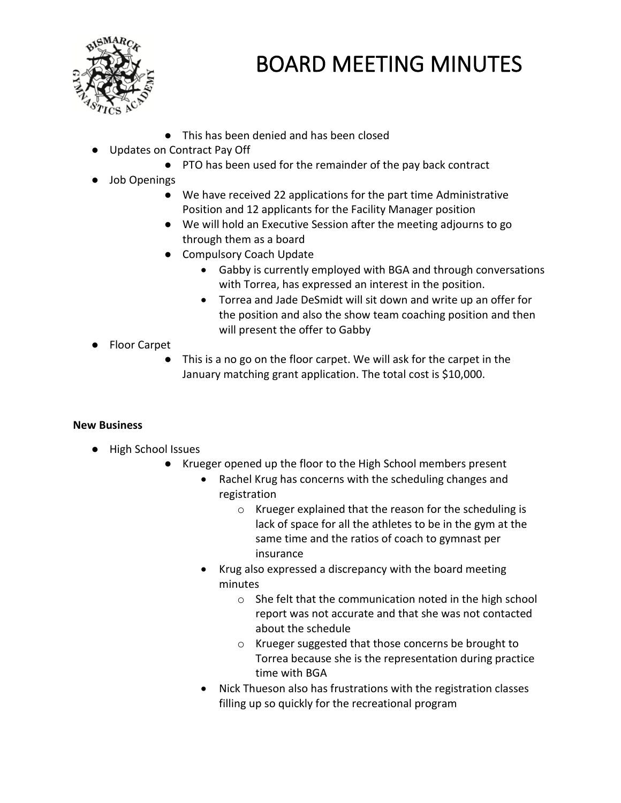

- This has been denied and has been closed
- Updates on Contract Pay Off
	- PTO has been used for the remainder of the pay back contract
- Job Openings
	- We have received 22 applications for the part time Administrative Position and 12 applicants for the Facility Manager position
	- We will hold an Executive Session after the meeting adjourns to go through them as a board
	- Compulsory Coach Update
		- Gabby is currently employed with BGA and through conversations with Torrea, has expressed an interest in the position.
		- Torrea and Jade DeSmidt will sit down and write up an offer for the position and also the show team coaching position and then will present the offer to Gabby
- Floor Carpet
	- This is a no go on the floor carpet. We will ask for the carpet in the January matching grant application. The total cost is \$10,000.

### **New Business**

- High School Issues
	- Krueger opened up the floor to the High School members present
		- Rachel Krug has concerns with the scheduling changes and registration
			- o Krueger explained that the reason for the scheduling is lack of space for all the athletes to be in the gym at the same time and the ratios of coach to gymnast per insurance
		- Krug also expressed a discrepancy with the board meeting minutes
			- o She felt that the communication noted in the high school report was not accurate and that she was not contacted about the schedule
			- o Krueger suggested that those concerns be brought to Torrea because she is the representation during practice time with BGA
		- Nick Thueson also has frustrations with the registration classes filling up so quickly for the recreational program